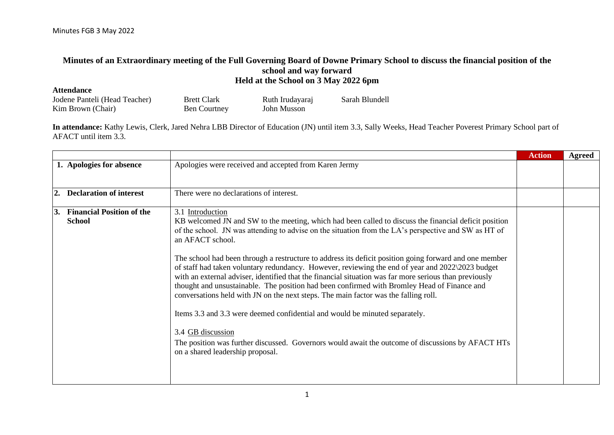## **Minutes of an Extraordinary meeting of the Full Governing Board of Downe Primary School to discuss the financial position of the school and way forward Held at the School on 3 May 2022 6pm**

| <b>Attendance</b>             |                     |                 |                |
|-------------------------------|---------------------|-----------------|----------------|
| Jodene Panteli (Head Teacher) | <b>Brett Clark</b>  | Ruth Irudayaraj | Sarah Blundell |
| Kim Brown (Chair)             | <b>Ben Courtney</b> | John Musson     |                |

**In attendance:** Kathy Lewis, Clerk, Jared Nehra LBB Director of Education (JN) until item 3.3, Sally Weeks, Head Teacher Poverest Primary School part of AFACT until item 3.3.

|                                                   |                                                                                                                                                                                                                                                                                                                                                                                                                                                                                                                                                                                                                                                                                                                                                                                                                                                                                                                                                                                                                  | <b>Action</b> | Agreed |
|---------------------------------------------------|------------------------------------------------------------------------------------------------------------------------------------------------------------------------------------------------------------------------------------------------------------------------------------------------------------------------------------------------------------------------------------------------------------------------------------------------------------------------------------------------------------------------------------------------------------------------------------------------------------------------------------------------------------------------------------------------------------------------------------------------------------------------------------------------------------------------------------------------------------------------------------------------------------------------------------------------------------------------------------------------------------------|---------------|--------|
| 1. Apologies for absence                          | Apologies were received and accepted from Karen Jermy                                                                                                                                                                                                                                                                                                                                                                                                                                                                                                                                                                                                                                                                                                                                                                                                                                                                                                                                                            |               |        |
| <b>Declaration of interest</b><br>2.              | There were no declarations of interest.                                                                                                                                                                                                                                                                                                                                                                                                                                                                                                                                                                                                                                                                                                                                                                                                                                                                                                                                                                          |               |        |
| <b>Financial Position of the</b><br><b>School</b> | 3.1 Introduction<br>KB welcomed JN and SW to the meeting, which had been called to discuss the financial deficit position<br>of the school. JN was attending to advise on the situation from the LA's perspective and SW as HT of<br>an AFACT school.<br>The school had been through a restructure to address its deficit position going forward and one member<br>of staff had taken voluntary redundancy. However, reviewing the end of year and 2022\2023 budget<br>with an external adviser, identified that the financial situation was far more serious than previously<br>thought and unsustainable. The position had been confirmed with Bromley Head of Finance and<br>conversations held with JN on the next steps. The main factor was the falling roll.<br>Items 3.3 and 3.3 were deemed confidential and would be minuted separately.<br>3.4 GB discussion<br>The position was further discussed. Governors would await the outcome of discussions by AFACT HTs<br>on a shared leadership proposal. |               |        |